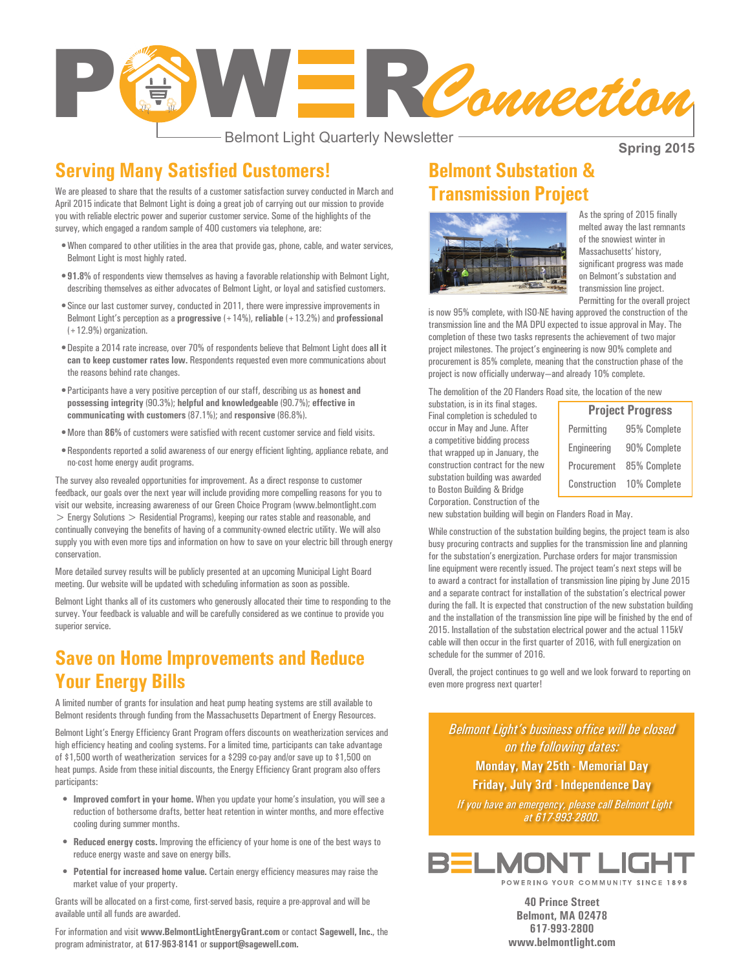

- Belmont Light Quarterly Newsletter -

**Spring 2015**

#### **Serving Many Satisfied Customers!**

We are pleased to share that the results of a customer satisfaction survey conducted in March and April 2015 indicate that Belmont Light is doing a great job of carrying out our mission to provide you with reliable electric power and superior customer service. Some of the highlights of the survey, which engaged a random sample of 400 customers via telephone, are:

- • When compared to other utilities in the area that provide gas, phone, cable, and water services, Belmont Light is most highly rated.
- 91.8% of respondents view themselves as having a favorable relationship with Belmont Light, describing themselves as either advocates of Belmont Light, or loyal and satisfied customers.
- • Since our last customer survey, conducted in 2011, there were impressive improvements in Belmont Light's perception as a **progressive** (+14%), **reliable** (+13.2%) and **professional** (+12.9%) organization.
- • Despite a 2014 rate increase, over 70% of respondents believe that Belmont Light does **all it can to keep customer rates low.** Respondents requested even more communications about the reasons behind rate changes.
- • Participants have a very positive perception of our staff, describing us as **honest and possessing integrity** (90.3%); **helpful and knowledgeable** (90.7%); **effective in communicating with customers** (87.1%); and **responsive** (86.8%).
- • More than **86%** of customers were satisfied with recent customer service and field visits.
- • Respondents reported a solid awareness of our energy efficient lighting, appliance rebate, and no-cost home energy audit programs.

The survey also revealed opportunities for improvement. As a direct response to customer feedback, our goals over the next year will include providing more compelling reasons for you to visit our website, increasing awareness of our Green Choice Program (www.belmontlight.com > Energy Solutions > Residential Programs), keeping our rates stable and reasonable, and continually conveying the benefits of having of a community-owned electric utility. We will also supply you with even more tips and information on how to save on your electric bill through energy conservation.

More detailed survey results will be publicly presented at an upcoming Municipal Light Board meeting. Our website will be updated with scheduling information as soon as possible.

Belmont Light thanks all of its customers who generously allocated their time to responding to the survey. Your feedback is valuable and will be carefully considered as we continue to provide you superior service.

### **Save on Home Improvements and Reduce Your Energy Bills**

A limited number of grants for insulation and heat pump heating systems are still available to Belmont residents through funding from the Massachusetts Department of Energy Resources.

Belmont Light's Energy Efficiency Grant Program offers discounts on weatherization services and high efficiency heating and cooling systems. For a limited time, participants can take advantage of \$1,500 worth of weatherization services for a \$299 co-pay and/or save up to \$1,500 on heat pumps. Aside from these initial discounts, the Energy Efficiency Grant program also offers participants:

- • **Improved comfort in your home.** When you update your home's insulation, you will see a reduction of bothersome drafts, better heat retention in winter months, and more effective cooling during summer months.
- • **Reduced energy costs.** Improving the efficiency of your home is one of the best ways to reduce energy waste and save on energy bills.
- • **Potential for increased home value.** Certain energy efficiency measures may raise the market value of your property.

Grants will be allocated on a first-come, first-served basis, require a pre-approval and will be available until all funds are awarded.

#### For information and visit **www.BelmontLightEnergyGrant.com** or contact **Sagewell, Inc.**, the program administrator, at **617-963-8141** or **support@sagewell.com.**

### **Belmont Substation & Transmission Project**



As the spring of 2015 finally melted away the last remnants of the snowiest winter in Massachusetts' history, significant progress was made on Belmont's substation and transmission line project. Permitting for the overall project

is now 95% complete, with ISO-NE having approved the construction of the transmission line and the MA DPU expected to issue approval in May. The completion of these two tasks represents the achievement of two major project milestones. The project's engineering is now 90% complete and procurement is 85% complete, meaning that the construction phase of the project is now officially underway—and already 10% complete.

The demolition of the 20 Flanders Road site, the location of the new

substation, is in its final stages. Final completion is scheduled to occur in May and June. After a competitive bidding process that wrapped up in January, the construction contract for the new substation building was awarded to Boston Building & Bridge Corporation. Construction of the

| <b>Project Progress</b> |              |
|-------------------------|--------------|
| Permitting              | 95% Complete |
| Engineering             | 90% Complete |
| Procurement             | 85% Complete |
| Construction            | 10% Complete |

new substation building will begin on Flanders Road in May.

While construction of the substation building begins, the project team is also busy procuring contracts and supplies for the transmission line and planning for the substation's energization. Purchase orders for major transmission line equipment were recently issued. The project team's next steps will be to award a contract for installation of transmission line piping by June 2015 and a separate contract for installation of the substation's electrical power during the fall. It is expected that construction of the new substation building and the installation of the transmission line pipe will be finished by the end of 2015. Installation of the substation electrical power and the actual 115kV cable will then occur in the first quarter of 2016, with full energization on schedule for the summer of 2016.

Overall, the project continues to go well and we look forward to reporting on even more progress next quarter!

*Belmont Light's business office will be closed on the following dates:*  **Monday, May 25th - Memorial Day**

**Friday, July 3rd - Independence Day**

*If you have an emergency, please call Belmont Light at 617-993-2800.*



**40 Prince Street Belmont, MA 02478 617-993-2800 www.belmontlight.com**